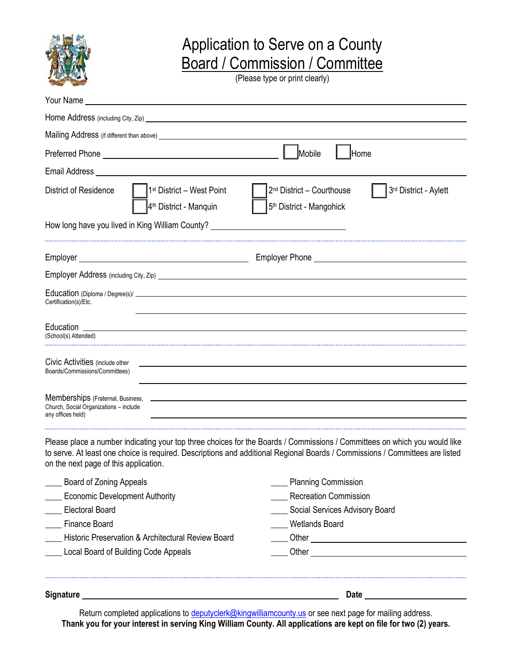

## Application to Serve on a County Board / Commission / Committee

(Please type or print clearly)

| Your Name_<br><u> 1989 - John Stein, Amerikaansk politiker (</u>                                                                                                                                                               |                                                                                                                                                                                                                                                           |
|--------------------------------------------------------------------------------------------------------------------------------------------------------------------------------------------------------------------------------|-----------------------------------------------------------------------------------------------------------------------------------------------------------------------------------------------------------------------------------------------------------|
|                                                                                                                                                                                                                                |                                                                                                                                                                                                                                                           |
|                                                                                                                                                                                                                                |                                                                                                                                                                                                                                                           |
| Email Address National Accounts and the contract of the contract of the contract of the contract of the contract of the contract of the contract of the contract of the contract of the contract of the contract of the contra |                                                                                                                                                                                                                                                           |
| 1 <sup>st</sup> District - West Point<br><b>District of Residence</b><br>4 <sup>th</sup> District - Manquin                                                                                                                    | 2 <sup>nd</sup> District - Courthouse<br>3rd District - Aylett<br>5 <sup>th</sup> District - Mangohick                                                                                                                                                    |
| How long have you lived in King William County? ________________________________                                                                                                                                               |                                                                                                                                                                                                                                                           |
|                                                                                                                                                                                                                                |                                                                                                                                                                                                                                                           |
|                                                                                                                                                                                                                                |                                                                                                                                                                                                                                                           |
| Certification(s)/Etc.                                                                                                                                                                                                          |                                                                                                                                                                                                                                                           |
| (School(s) Attended)                                                                                                                                                                                                           |                                                                                                                                                                                                                                                           |
| Civic Activities (include other<br>Boards/Commissions/Committees)                                                                                                                                                              |                                                                                                                                                                                                                                                           |
| Memberships (Fratemal, Business, 2000) and the contract of the state of the state of the state of the state of<br>Church, Social Organizations - include<br>any offices held)                                                  |                                                                                                                                                                                                                                                           |
| on the next page of this application.                                                                                                                                                                                          | Please place a number indicating your top three choices for the Boards / Commissions / Committees on which you would like<br>to serve. At least one choice is required. Descriptions and additional Regional Boards / Commissions / Committees are listed |
| <b>Board of Zoning Appeals</b>                                                                                                                                                                                                 | __ Planning Commission                                                                                                                                                                                                                                    |
| <b>Economic Development Authority</b>                                                                                                                                                                                          | <b>Recreation Commission</b>                                                                                                                                                                                                                              |
| ___ Electoral Board                                                                                                                                                                                                            | Social Services Advisory Board                                                                                                                                                                                                                            |
| ____ Finance Board                                                                                                                                                                                                             | Wetlands Board                                                                                                                                                                                                                                            |
| Historic Preservation & Architectural Review Board                                                                                                                                                                             |                                                                                                                                                                                                                                                           |
| _Local Board of Building Code Appeals                                                                                                                                                                                          |                                                                                                                                                                                                                                                           |
| <b>Signature</b>                                                                                                                                                                                                               | Date                                                                                                                                                                                                                                                      |

Return completed applications to *deputyclerk@kingwilliamcounty.us* or see next page for mailing address. **Thank you for your interest in serving King William County. All applications are kept on file for two (2) years.**